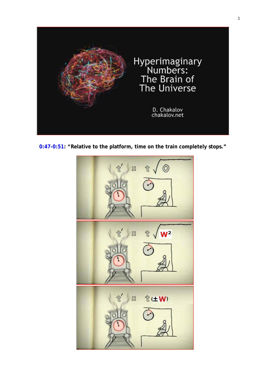

<span id="page-0-0"></span>**[0:47-0:51:](https://www.youtube.com/watch?v=l_QoEUmwVPU) "Relative to the platform, time on the train completely stops."**

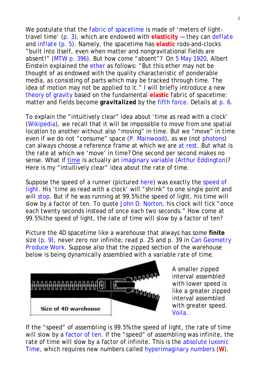We postulate that the *fabric* [of spacetime](http://www.god-does-not-play-dice.net/colorless.pdf) is made of 'meters of lighttravel time' [\(p. 3\)](#page-2-0), which are endowed with **elasticity** — they can *[deflate](http://www.god-does-not-play-dice.net/time.gif)* and *[inflate](https://en.wikipedia.org/wiki/Dark_energy#Inflationary_dark_energy)* [\(p. 5\)](#page-4-0). Namely, the spacetime has **elastic** rods-and-clocks "built into itself, even when matter and nongravitational fields are absent!" [\(MTW p. 396\)](http://www.god-does-not-play-dice.net/MTW_p396.jpg). But how come "absent"? On [5 May 1920,](https://mathshistory.st-andrews.ac.uk/Extras/Einstein_ether/) Albert Einstein explained the [ether](https://en.wikipedia.org/wiki/Lorentz_ether_theory#General_relativity) as follows: "But this ether may not be thought of as endowed with the quality characteristic of ponderable media, as consisting of parts which may be tracked through time. The idea of motion may not be applied to it." I will briefly introduce a new [theory of gravity](http://www.god-does-not-play-dice.net/news_tensor.pdf) based on the fundamental **elastic** *fabric* of spacetime: matter and fields become *gravitalized* by the [fifth force.](http://www.god-does-not-play-dice.net/talk.pdf) Details at [p. 6.](#page-5-0)

To explain the "intuitively clear" idea about 'time as read with a clock' [\(Wikipedia\)](https://en.wikipedia.org/wiki/Clock), we recall that it will be impossible to move from one spatial location to another without also "moving" in time. But we "move" in time even if we do not "consume" space (P. [Mainwood\)](https://www.quora.com/Minkowski-spacetime-says-that-while-stationary-we-always-move-at-the-speed-of-light-through-time-Relative-to-what-thing-are-we-moving-at-the-speed-of-light-against/answer/Paul-Mainwood/), as we (not [photons\)](https://simple.wikipedia.org/wiki/Photon#Properties) can always choose a reference frame at which we are [at rest.](https://en.wikipedia.org/wiki/Rest_frame) But what is the *rate* at which we 'move' in time? One second per second makes no sense. What if [time](http://www.god-does-not-play-dice.net/time-direction.jpg) is actually an *[imaginary](http://www.god-does-not-play-dice.net/Siegel.pdf)* variable [\(Arthur Eddington\)](http://www.god-does-not-play-dice.net/Eddington_1920.jpg)? Here is my "intuitively clear" idea about the *rate* of time.

<span id="page-1-1"></span>Suppose the speed of a runner (pictured [here\)](http://www.god-does-not-play-dice.net/runner.jpg) was exactly the speed of [light.](https://simple.wikipedia.org/wiki/Speed_of_light) His 'time as read with a clock' will "shrink" to *one single* point and will [stop.](#page-0-0) But if he was running at 99.5% the speed of light, his time will slow by a factor of ten. To quote [John D. Norton,](https://sites.pitt.edu/%7Ejdnorton/teaching/HPS_0410/chapters/Special_relativity_clocks_rods/index.html#sum_up) his clock will tick "once each twenty seconds instead of once each two seconds." How come at 99.5% the speed of light, the *rate* of time will slow by a factor of ten?

<span id="page-1-0"></span>Picture the 4D spacetime like a warehouse that always has some **finite** size [\(p. 9\)](#page-8-0), never zero nor infinite; read p. 25 and p. 39 in *[Can Geometry](http://www.god-does-not-play-dice.net/GR_textbook.pdf)  [Produce Work](http://www.god-does-not-play-dice.net/GR_textbook.pdf)*. Suppose also that the zipped section of the warehouse below is being dynamically *assembled* with a variable *rate* of time.



A smaller zipped interval assembled with lower speed is like a greater zipped interval assembled with greater speed. [Voila.](#page-4-0)

If the "speed" of *assembling* is 99.5% the speed of light, the *rate* of time will slow by a [factor of ten.](https://sites.pitt.edu/%7Ejdnorton/teaching/HPS_0410/chapters/Special_relativity_clocks_rods/index.html#sum_up) If the "speed" of *assembling* was infinite, the *rate* of time will slow by a factor of infinite. This is the [absolute luxonic](http://www.god-does-not-play-dice.net/p_31.jpg)  [Time,](http://www.god-does-not-play-dice.net/p_31.jpg) which requires new numbers called *[hyperimaginary numbers](#page-0-0)* (**W**).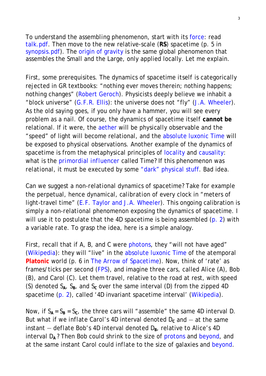To understand the *assembling* phenomenon, start with its [force:](http://www.god-does-not-play-dice.net/Force.jpg) read [talk.pdf.](http://www.god-does-not-play-dice.net/talk.pdf) Then move to the new relative-scale (**RS**) spacetime (p. 5 in [synopsis.pdf\)](http://www.god-does-not-play-dice.net/synopsis.pdf). The [origin of gravity](http://www.god-does-not-play-dice.net/wegtransformierbar.pdf) is the same global phenomenon that *assembles* the Small and the Large, only applied locally. Let me explain.

First, some prerequisites. The dynamics of spacetime *itself* is categorically rejected in GR textbooks: "nothing ever moves therein; nothing happens; nothing changes" [\(Robert Geroch\)](http://www.god-does-not-play-dice.net/Geroch_p3_p21.jpg). Physicists deeply believe we inhabit a "block universe" [\(G.F.R. Ellis\)](http://www.god-does-not-play-dice.net/Ellis_curved.jpg): the universe does *not* "fly" [\(J.A. Wheeler\)](http://www.god-does-not-play-dice.net/Fly.jpg). As the old saying goes, if you only have a hammer, you will see every problem as a nail. Of course, the dynamics of spacetime *itself* **cannot be** relational. If it were, the [aether](https://en.wikipedia.org/wiki/Lorentz_ether_theory#General_relativity) will be *physically* observable and the "speed" of light will become relational, and the [absolute luxonic Time](http://www.god-does-not-play-dice.net/p_31.jpg) will be exposed to *physical* observations. Another example of the dynamics of spacetime is from the metaphysical principles of [locality](https://en.wikipedia.org/wiki/Principle_of_locality) and [causality:](https://en.wikipedia.org/wiki/Causal_structure#Time-orientability) what is the *[primordial influencer](http://www.god-does-not-play-dice.net/Heraclitus.pdf)* called Time? If this phenomenon was *relational*, it must be executed by some "dark" *[physical](http://www.god-does-not-play-dice.net/dark_cord.jpg)* stuff. Bad idea.

<span id="page-2-0"></span>Can we suggest a *non-relational* dynamics of spacetime? Take for example the perpetual, hence dynamical, *calibration* of every clock in "meters of light-travel time" [\(E.F. Taylor and J.A. Wheeler\)](http://www.god-does-not-play-dice.net/Taylor_Wheeler.jpg). This ongoing calibration is simply a *non-relational* phenomenon exposing the dynamics of spacetime. I will use it to postulate that the 4D spacetime is being *assembled* [\(p. 2\)](#page-1-0) with a variable *rate*. To grasp the idea, here is a simple analogy.

<span id="page-2-1"></span>First, recall that if A, B, and C were [photons,](#page-8-1) they "will not have aged" [\(Wikipedia\)](https://en.wikipedia.org/wiki/Spacetime#Spacetime_interval): they will "live" in the [absolute luxonic Time](http://www.god-does-not-play-dice.net/p_31.jpg) of the *atemporal* **Platonic** world (p. 6 in *[The Arrow of Spacetime](http://www.god-does-not-play-dice.net/Heraclitus.pdf)*). Now, think of 'rate' as frames/ticks per second [\(FPS\)](https://en.wikipedia.org/wiki/Frame_rate), and imagine three cars, called Alice (A), Bob (B), and Carol (C). Let them travel, relative to the road at rest, with speed (S) denoted  $S_A$ ,  $S_B$ , and  $S_C$  over *the same* interval (D) from the zipped 4D spacetime [\(p. 2\)](#page-1-0), called '4D invariant spacetime interval' [\(Wikipedia\)](https://en.wikipedia.org/wiki/Spacetime#Spacetime_interval).

Now, if  $S_A = S_B = S_C$ , the three cars will "assemble" *the same* 4D interval D. But what if we *inflate* Carol's 4D interval denoted  $D_c$  and  $-$  at the same instant  $-$  *deflate* Bob's 4D interval denoted  $D_{\rm B}$ , relative to Alice's 4D interval D**A** ? Then Bob could *shrink* to the size of [protons](https://en.wikipedia.org/wiki/Proton) and [beyond,](https://simple.wikipedia.org/wiki/Planck_length) and at the same instant Carol could *inflate* to the size of galaxies and [beyond.](https://en.wikipedia.org/wiki/Galaxy#Larger-scale_structures)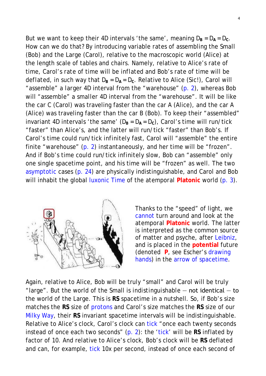<span id="page-3-0"></span>But we want to keep their 4D intervals 'the same', meaning  $D_B = D_A = D_C$ . How can we do that? By introducing variable *rates* of assembling the Small (Bob) and the Large (Carol), relative to the macroscopic world (Alice) at the length scale of tables and chairs. Namely, relative to Alice's *rate* of time, Carol's *rate* of time will be *inflated* and Bob's *rate* of time will be *deflated*, in such way that  $D_B = D_A = D_C$ . Relative to Alice (Sic!), Carol will "assemble" a *larger* 4D interval from the "warehouse" [\(p. 2\)](#page-1-0), whereas Bob will "assemble" a *smaller* 4D interval from the "warehouse". It will be like the car C (Carol) was traveling faster than the car A (Alice), and the car A (Alice) was traveling faster than the car B (Bob). To keep their "assembled" invariant 4D intervals 'the same'  $(D_B = D_A = D_C)$ , Carol's time will run/tick "faster" than Alice's, and the latter will run/tick "faster" than Bob's. If Carol's time could run/tick *infinitely* fast, Carol will "assemble" the entire finite "warehouse" [\(p. 2\)](#page-1-0) *instantaneously*, and her time will be "frozen". And if Bob's time could run/tick *infinitely* slow, Bob can "assemble" only one single spacetime point, and his time will be "frozen" as well. The two [asymptotic](https://en.wikipedia.org/wiki/Asymptotic_analysis) cases [\(p. 24\)](http://www.god-does-not-play-dice.net/p_24.jpg) are physically indistinguishable, and Carol and Bob will inhabit the global [luxonic Time](http://www.god-does-not-play-dice.net/p_31.jpg) of the *atemporal* **Platonic** world [\(p. 3\)](#page-2-1).

<span id="page-3-1"></span>

Thanks to the "speed" of light, we [cannot](https://en.wikipedia.org/wiki/Allegory_of_the_Cave#Imprisonment_in_the_cave) turn around and look at the *atemporal* **Platonic** world. The latter is interpreted as the common source of matter and psyche, after [Leibniz,](http://www.god-does-not-play-dice.net/Leibniz.jpg) and is placed in the **potential** future (denoted **P**, see Escher's [drawing](http://www.god-does-not-play-dice.net/Esher.jpg)  [hands\)](http://www.god-does-not-play-dice.net/Esher.jpg) in the [arrow of spacetime.](http://www.god-does-not-play-dice.net/Heraclitus.pdf)

Again, relative to Alice, Bob will be truly "small" and Carol will be truly "large". But the world of the Small is *indistinguishable* ― not identical ― to the world of the Large. This is **RS** spacetime in a nutshell. So, if Bob's size matches the **RS** size of [protons](https://en.wikipedia.org/wiki/Proton) and Carol's size matches the **RS** size of our [Milky Way,](https://en.wikipedia.org/wiki/Milky_Way) their **RS** invariant spacetime intervals will be *indistinguishable.* Relative to Alice's clock, Carol's clock can [tick](#page-2-1) "once each twenty seconds instead of once each two seconds" [\(p. 2\)](#page-1-1): the ['tick'](#page-2-1) will be **RS** inflated by factor of 10. And relative to Alice's clock, Bob's clock will be **RS** deflated and can, for example, [tick](#page-2-1) 10x per second, instead of once each second of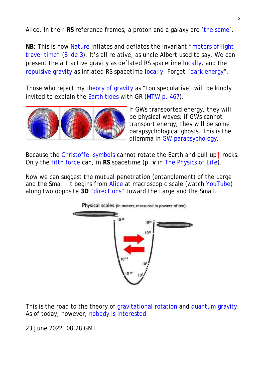Alice. In *their* **RS** reference frames, a proton and a galaxy are ['the same'](http://www.god-does-not-play-dice.net/Alice.jpg).

<span id="page-4-0"></span>**NB**: This is how [Nature](http://www.god-does-not-play-dice.net/talk.pdf) inflates and deflates the invariant "meters [of light](#page-2-0)[travel time"](#page-2-0) [\(Slide 3\)](http://www.god-does-not-play-dice.net/Slide_3_talk.jpg). It's all relative, as uncle Albert used to say. We can present the attractive gravity as deflated RS spacetime [locally,](http://www.god-does-not-play-dice.net/time.gif) and the [repulsive gravity](https://en.wikipedia.org/wiki/Reactionless_drive) as inflated RS spacetime [locally.](http://www.god-does-not-play-dice.net/gimbal.jpg) Forget ["dark energy"](http://www.god-does-not-play-dice.net/Brian.jpg).

<span id="page-4-1"></span>Those who reject my [theory of gravity](http://www.god-does-not-play-dice.net/news_tensor.pdf) as "too speculative" will be kindly invited to explain the [Earth tides](https://en.wikipedia.org/wiki/Earth_tide#Body_tide) with GR [\(MTW p. 467\)](http://www.god-does-not-play-dice.net/MTW_page_467.jpg).



If GWs transported energy, they will be *physical* waves; if GWs *cannot* transport energy, they will be some parapsychological ghosts. This is the dilemma in [GW parapsychology.](http://www.god-does-not-play-dice.net/T_V_S.jpg)

Because the [Christoffel symbols](http://www.god-does-not-play-dice.net/Bloomfield.jpg) cannot rotate the Earth *and* pull up↑ rocks. Only the [fifth force](http://www.god-does-not-play-dice.net/talk.pdf) can, in **RS** spacetime (p. **v** in *[The Physics of Life](http://www.god-does-not-play-dice.net/Intro.pdf)*).

Now we can suggest the *mutual penetration* (entanglement) of the Large and the Small. It begins from [Alice](#page-3-0) at macroscopic scale (watch [YouTube\)](https://www.youtube.com/watch?v=0fKBhvDjuy0) along two opposite **3D** ["directions"](http://www.god-does-not-play-dice.net/inversion.jpg) toward the Large and the Small.



This is the road to the theory of [gravitational rotation](http://www.god-does-not-play-dice.net/time-direction.jpg) and [quantum gravity.](http://www.god-does-not-play-dice.net/Slide_2_talk.jpg) As of today, however, [nobody is interested.](http://www.god-does-not-play-dice.net/Proposal.rar)

23 June 2022, 08:28 GMT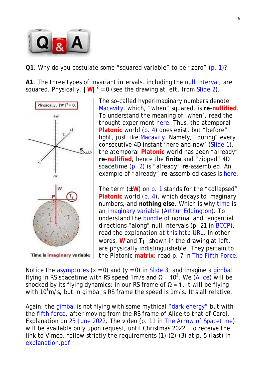

<span id="page-5-0"></span>**Q1**. Why do you postulate some "squared variable" to be "zero" [\(p. 1\)](#page-0-0)?

**A1**. The three types of invariant intervals, including the [null interval,](https://en.wikipedia.org/wiki/Spacetime#Spacetime_interval) are squared. Physically,  $|\mathbf{W}|^2 = 0$  (see the drawing at left, from [Slide 2\)](http://www.god-does-not-play-dice.net/Slide_2_talk.jpg).



The so-called *hyperimaginary numbers* denote [Macavity,](http://www.god-does-not-play-dice.net/Macavity.pdf) which, "when" squared, is **re**-**nullified**. To understand the meaning of 'when', read the thought experiment [here.](http://www.god-does-not-play-dice.net/p_31.jpg) Thus, the *atemporal* **Platonic** world [\(p. 4\)](#page-3-1) does exist, but "before" light, just like [Macavity.](http://www.god-does-not-play-dice.net/Macavity.pdf) Namely, "during" every consecutive 4D instant 'here and now' [\(Slide 1\)](http://www.god-does-not-play-dice.net/Slide_1_talk.jpg), the *atemporal* **Platonic** world has been "already" **re**-**nullified**, hence the **finite** and "zipped" 4D spacetime [\(p. 2\)](#page-1-0) is "already" **re**-assembled. An example of "already" **re**-assembled cases is [here.](http://www.god-does-not-play-dice.net/p_12.jpg)

The term (**±W**) on [p. 1](#page-0-0) stands for the "collapsed" **Platonic** world [\(p. 4\)](#page-3-1), which decays to *imaginary* numbers, and **nothing else**. Which is why [time](http://www.god-does-not-play-dice.net/time-direction.jpg) is an *[imaginary](http://www.god-does-not-play-dice.net/Siegel.pdf)* variable [\(Arthur Eddington\)](http://www.god-does-not-play-dice.net/Eddington_1920.jpg). To understand the [bundle](https://en.m.wikipedia.org/wiki/Tangential_and_normal_components) of normal and tangential directions "along" null intervals (p. 21 in [BCCP\)](http://www.god-does-not-play-dice.net/BCCP.pdf), read the explanation at [this http URL.](http://www.god-does-not-play-dice.net/null_surfaces.jpg) In other words, **W** and **Ti** , shown in the drawing at left, are *physically* indistinguishable. They pertain to the Platonic **matrix**: read p. 7 in *[The Fifth Force](http://www.god-does-not-play-dice.net/video.pdf)*.

Notice the [asymptotes](https://socratic.org/answers/112684)  $(x = 0)$  and  $(y = 0)$  in [Slide 3,](http://www.god-does-not-play-dice.net/Slide_3_talk.jpg) and imagine a [gimbal](http://www.god-does-not-play-dice.net/gimbal.jpg) flying in RS spacetime with RS speed 1m/s and  $\Omega$  = 10<sup>3</sup>. We [\(Alice\)](http://www.god-does-not-play-dice.net/Slide_3_talk.jpg) will be shocked by its flying dynamics: in *our* RS frame of  $\Omega$  = 1, it will be flying with 10**<sup>3</sup>** m/s, but in gimbal's RS frame the speed is 1m/s. It's all relative.

Again, the [gimbal](http://www.god-does-not-play-dice.net/gimbal.jpg) is not flying with some mythical ["dark energy"](http://www.god-does-not-play-dice.net/Brian.jpg) but with the [fifth force,](http://www.god-does-not-play-dice.net/video.pdf) after moving from the RS frame of Alice to that of Carol. Explanation on [23 June 2022.](http://www.god-does-not-play-dice.net/talk.pdf) The video (p. 11 in *[The Arrow of Spacetime](http://www.god-does-not-play-dice.net/Heraclitus.pdf)*) will be available only upon request, until Christmas 2022. To receive the link to Vimeo, follow strictly the requirements (1)-(2)-(3) at p. 5 (last) in [explanation.pdf.](http://www.god-does-not-play-dice.net/explanation.pdf)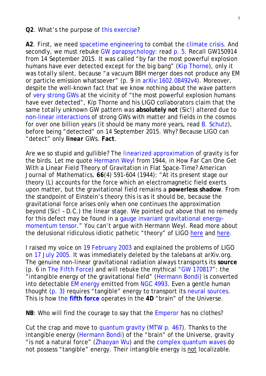#### <span id="page-6-0"></span>**Q2**. What's the purpose of [this exercise?](http://chakalov.net/#Vimeo)

**A2**. First, we need [spacetime engineering](http://www.god-does-not-play-dice.net/p_9.jpg) to combat the [climate crisis.](http://www.god-does-not-play-dice.net/Proposal.rar) And secondly, we must rebuke [GW parapsychology:](http://www.god-does-not-play-dice.net/kip_slide_5.jpg) read [p. 5.](#page-4-1) Recall GW150914 from 14 September 2015. It was called "by far the most powerful explosion humans have ever detected except for the big bang" [\(Kip Thorne\)](https://www.science.org/content/article/gravitational-waves-einstein-s-ripples-spacetime-spotted-first-time), only it was *totally* silent, because "a vacuum BBH merger does not produce any EM or particle emission *whatsoever*" (p. 9 in [arXiv:1602.08492v4\)](https://arxiv.org/abs/1602.08492v4). Moreover, despite the well-known fact that we know *nothing* about the wave pattern of *very* [strong GWs](http://www.god-does-not-play-dice.net/Maggiore_p32.jpg) at the vicinity of "the most powerful explosion humans have ever detected", Kip Thorne and his LIGO collaborators claim that the same *totally unknown* GW pattern was **absolutely** *not* (Sic!) altered due to [non-linear interactions](http://www.god-does-not-play-dice.net/MTW_p_968.jpg) of strong GWs with matter and fields in the cosmos for over one billion years (it should be *many more* years, read B. [Schutz\)](http://www.god-does-not-play-dice.net/Schutz_flat.jpg), before being "detected" on 14 September 2015. Why? Because LIGO can "detect" only *linear* GWs. **Fact**.

Are we so stupid and gullible? The *linearized* [approximation](http://www.god-does-not-play-dice.net/Jose.jpg) of gravity is for the birds. Let me quote [Hermann Weyl](http://www.god-does-not-play-dice.net/Weyl_1944.pdf) from 1944, in How Far Can One Get With a Linear Field Theory of Gravitation in Flat Space-Time? *American Journal of Mathematics*, **66**(4) 591-604 (1944): "At its present stage our theory (L) accounts for the force which an electromagnetic field exerts upon matter, but the gravitational field remains a **powerless shadow**. From the standpoint of Einstein's theory this is as it should be, because the gravitational force arises only when one continues the approximation *beyond* (Sic! – D.C.) the linear stage. We pointed out above that no remedy for this defect may be found in a [gauge invariant gravitational energy](https://arxiv.org/abs/0908.3322v3)[momentum tensor.](https://arxiv.org/abs/0908.3322v3)" You can't argue with Hermann Weyl. Read more about the delusional ridiculous idiotic pathetic "theory" of LIGO [here](http://www.god-does-not-play-dice.net/kip_slide_5.jpg) and [here.](http://www.god-does-not-play-dice.net/T_V_S.jpg)

I raised my voice on [19 February 2003](http://www.god-does-not-play-dice.net/Nature.html#19_Feb) and explained the problems of LIGO on [17 July 2005.](http://www.god-does-not-play-dice.net/physics-0507133.htm) It was immediately deleted by the talebans at arXiv.org. The genuine *non-linear* gravitational radiation always *transports* its **source** (p. 6 in *[The Fifth Force](http://www.god-does-not-play-dice.net/talk.pdf)*) and will rebuke the mythical ["GW 170817"](http://www.god-does-not-play-dice.net/T_V_S.jpg): the "*intangible* energy of the gravitational field" [\(Hermann Bondi\)](http://www.god-does-not-play-dice.net/Bondi_p249.jpg) is converted into detectable [EM energy](https://en.wikipedia.org/wiki/Gamma-ray_burst#Short_gamma-ray_bursts) emitted from [NGC 4993.](https://en.wikipedia.org/wiki/NGC_4993#Dark_matter_content) Even a gentle human thought [\(p. 3\)](http://www.god-does-not-play-dice.net/p_3.jpg) requires "tangible" energy to transport its [neural sources.](https://en.wikipedia.org/wiki/Neural_correlates_of_consciousness) This is how the **[fifth force](http://www.god-does-not-play-dice.net/talk.pdf)** operates in the **4D** "brain" of the Universe.

<span id="page-6-1"></span>**NB**: Who will find the courage to say that the [Emperor](https://www.nobelprize.org/prizes/physics/2017/press-release/) has no clothes?

Cut the crap and move to [quantum gravity](http://www.god-does-not-play-dice.net/non_conservation.jpg) [\(MTW p. 467\)](http://www.god-does-not-play-dice.net/MTW_page_467.jpg). Thanks to the *intangible* energy [\(Hermann Bondi\)](http://www.god-does-not-play-dice.net/Bondi_p249.jpg) of the "brain" of the Universe, gravity "is not a natural force" [\(Zhaoyan Wu\)](http://www.god-does-not-play-dice.net/Wu.jpg) and the [complex quantum waves](https://en.wikipedia.org/wiki/Wave_function) do *not* possess "tangible" energy. Their *intangible* energy is not localizable.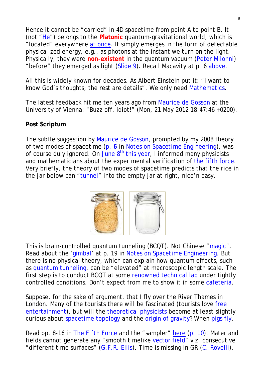Hence it cannot be "carried" in 4D spacetime from point A to point B. It (not ["He"](https://quran.com/3/29)) belongs to the **Platonic** quantum-gravitational world, which is "located" *everywhere* [at once.](http://www.god-does-not-play-dice.net/inertia.jpg) It simply *emerges* in the form of detectable *physicalized* energy, e.g., as photons at the instant we turn on the light. Physically, they were **non-existent** in the quantum vacuum [\(Peter Milonni\)](http://www.god-does-not-play-dice.net/Milonni.jpg) "before" they *emerged* as light [\(Slide 9\)](http://www.god-does-not-play-dice.net/Slide_9.jpg). Recall Macavity at p. 6 [above.](#page-5-0)

All this is widely known for decades. As Albert Einstein put it: "I want to know God's thoughts; the rest are details". We only need [Mathematics.](https://www.quora.com/Einstein-created-tensor-calculus-to-represent-General-and-Special-relativity-How-likely-does-it-seem-that-a-unified-theory-of-everything-will-require-new-form-of-mathematics-and-will-it-be-another-branch-of-Calculus/answer/Dimi-Chakalov)

<span id="page-7-0"></span>The latest feedback hit me ten years ago from [Maurice de Gosson](https://homepage.univie.ac.at/maurice.de.gosson/index.htm) at the University of Vienna: "Buzz off, idiot!" (Mon, 21 May 2012 18:47:46 +0200).

## **Post Scriptum**

The subtle suggestion by [Maurice de Gosson,](#page-7-0) prompted by my 2008 theory of two *modes* of spacetime [\(p.](http://www.god-does-not-play-dice.net/two_modes.jpg) **6** in *[Notes on Spacetime Engineering](http://www.god-does-not-play-dice.net/SE.pdf)*), was of course duly ignored. On June  $8<sup>th</sup>$  this year, I informed many physicists and mathematicians about the experimental verification of [the fifth force.](http://www.god-does-not-play-dice.net/talk.pdf) Very briefly, the theory of two *modes* of spacetime predicts that the rice in the jar below can ["tunnel"](https://vimeo.com/663803238) into the empty jar at right, nice'n easy.



This is brain-controlled quantum tunneling (BCQT). Not Chinese ["magic"](http://www.god-does-not-play-dice.net/Translocation.mp4). Read about the ['gimbal'](http://www.god-does-not-play-dice.net/gimbal.jpg) at p. 19 in *[Notes on Spacetime Engineering](http://www.god-does-not-play-dice.net/SE.pdf)*. But there is no physical theory, which can explain how quantum effects, such as [quantum tunneling,](https://en.wikipedia.org/wiki/Quantum_tunnelling#Introduction_to_the_concept) can be "elevated" at macroscopic length scale. The first step is to conduct BCQT at some [renowned technical lab](http://www.god-does-not-play-dice.net/labs.pdf) under tightly controlled conditions. Don't expect from me to show it in some [cafeteria.](https://vimeo.com/663803238)

Suppose, for the sake of argument, that I fly over the River Thames in London. Many of the tourists there will be fascinated (tourists *love* [free](http://www.god-does-not-play-dice.net/Steve_Freyne.jpg)  [entertainment\)](http://www.god-does-not-play-dice.net/Steve_Freyne.jpg), but will the [theoretical physicists](http://www.god-does-not-play-dice.net/sampler.jpg) become at least slightly curious about [spacetime topology](http://www.god-does-not-play-dice.net/talk.pdf) and the [origin of gravity?](#page-6-0) When [pigs fly.](https://en.wikipedia.org/wiki/When_pigs_fly)

Read pp. 8-16 in *[The Fifth Force](http://www.god-does-not-play-dice.net/talk.pdf)* and the "sampler" [here](http://www.god-does-not-play-dice.net/sampler.jpg) (p. [10\)](#page-9-0). Mater and fields *cannot* generate any "smooth timelike [vector field"](http://www.god-does-not-play-dice.net/sampler.jpg) viz. consecutive "different time surfaces" [\(G.F.R. Ellis\)](http://www.god-does-not-play-dice.net/Ellis_curved.jpg). Time is missing in GR [\(C. Rovelli\)](http://www.god-does-not-play-dice.net/Rovelli_p84.jpg).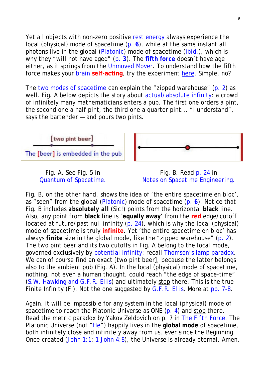<span id="page-8-1"></span>Yet all objects with non-zero positive [rest energy](https://en.wikipedia.org/wiki/Invariant_mass#Rest_energy) always experience the local (physical) *mode* of spacetime [\(p.](http://www.god-does-not-play-dice.net/two_modes.jpg) **6**), while at *the same instant* all photons live in the global [\(Platonic\)](#page-3-1) *mode* of spacetime (*[ibid](http://www.god-does-not-play-dice.net/two_modes.jpg)*.), which is why they "will not have aged" [\(p.](#page-2-1) **3**). The **[fifth force](http://www.god-does-not-play-dice.net/talk.pdf)** doesn't have age either, as it springs from the [Unmoved Mover.](http://www.god-does-not-play-dice.net/Heraclitus.pdf) To understand how the fifth force makes your [brain](http://www.god-does-not-play-dice.net/photo_2.jpg) **self-acting**, try the experiment [here.](http://www.god-does-not-play-dice.net/p_3.jpg) Simple, no?

<span id="page-8-0"></span>The two *modes* [of spacetime](http://www.god-does-not-play-dice.net/two_modes.jpg) can explain the "zipped warehouse" [\(p. 2\)](#page-1-0) as well. Fig. A below depicts the story about [actual/absolute infinity:](https://en.wikipedia.org/wiki/Absolute_Infinite) a crowd of infinitely many mathematicians enters a pub. The first one orders a pint, the second one a half pint, the third one a quarter pint... "I understand", says the bartender — and pours two pints.





Fig. B. Read [p. 24](http://www.god-does-not-play-dice.net/p_24.jpg) in *[Notes on Spacetime Engineering.](http://www.god-does-not-play-dice.net/SE.pdf)*

Fig. B, on the other hand, shows the idea of 'the entire spacetime *en bloc*', as "seen" from the global [\(Platonic\)](#page-3-1) *mode* of spacetime [\(p.](http://www.god-does-not-play-dice.net/two_modes.jpg) **6**). Notice that Fig. B includes *absolutely all* (Sic!) points from the horizontal **black** line. Also, *any* point from **black** line is '**equally away**' from the **red** edge/cutoff located at future/past null infinity  $(p. 24)$  $(p. 24)$ , which is why the local (physical) *mode* of spacetime is truly **infinite**. Yet 'the entire spacetime *en bloc*' has always *finite* size in the global mode, like the "zipped warehouse" [\(p. 2\)](#page-1-0). The two pint beer and its two cutoffs in Fig. A belong to the *local* mode, governed exclusively by *[potential](https://math.vanderbilt.edu/schectex/courses/thereals/potential.html)* infinity: recall [Thomson's lamp paradox.](https://en.wikipedia.org/wiki/Thomson%27s_lamp) We can of course find an exact [two pint beer], because the latter belongs *also* to the ambient pub (Fig. A). In the local (physical) mode of spacetime, *nothing*, not even a human thought, could reach "the edge of space-time" [\(S.W. Hawking and G.F.R. Ellis\)](http://www.god-does-not-play-dice.net/Hawking_Ellis.jpg) and ultimately stop there. This is the true Finite Infinity (FI). Not the one suggested by [G.F.R. Ellis.](http://www.god-does-not-play-dice.net/FI.pdf) More at [pp. 7-8.](#page-6-1)

Again, it will be impossible for any system in the local (physical) *mode* of spacetime to reach the Platonic Universe as ONE [\(p. 4\)](#page-3-1) and stop there. Read the *metric paradox* by Yakov Zeldovich on p. 7 in *[The Fifth Force](http://www.god-does-not-play-dice.net/talk.pdf)*. The Platonic Universe (not ["He"](https://quran.com/3/29)) happily lives in the **global mode** of spacetime, *both* infinitely close *and* infinitely away from us, ever since the Beginning. Once created [\(John 1:1;](http://biblehub.com/john/1-1.htm) [1 John 4:8\)](http://biblehub.com/1_john/4-8.htm), the Universe is *already* eternal. Amen.